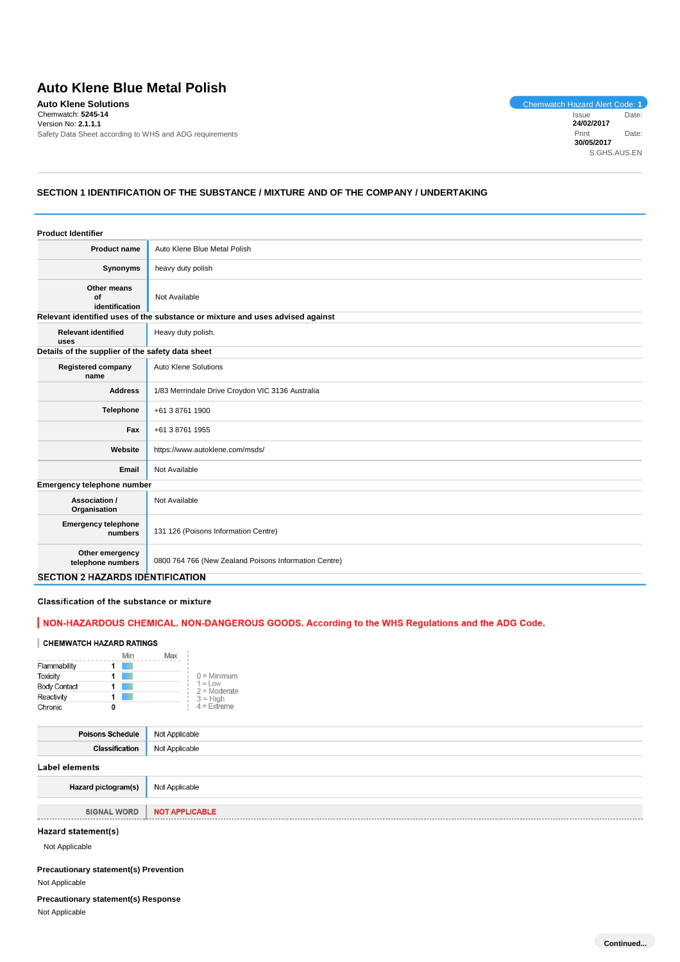# **Auto Klene Blue Metal Polish**

**Auto Klene Solutions**<br>
Chemwatch: 5245-14<br>
Chemwatch: 5245-14<br>
Issue Date: Chemwatch: **5245-14** Version No: **2.1.1.1** Safety Data Sheet according to WHS and ADG requirements

Issue Date: **24/02/2017** Print Date: **30/05/2017** S.GHS.AUS.EN

# **SECTION 1 IDENTIFICATION OF THE SUBSTANCE / MIXTURE AND OF THE COMPANY / UNDERTAKING**

| <b>Product Identifier</b>                        |                                                                               |
|--------------------------------------------------|-------------------------------------------------------------------------------|
| <b>Product name</b>                              | Auto Klene Blue Metal Polish                                                  |
| Synonyms                                         | heavy duty polish                                                             |
| Other means<br>Οf<br>identification              | Not Available                                                                 |
|                                                  | Relevant identified uses of the substance or mixture and uses advised against |
| <b>Relevant identified</b><br>uses               | Heavy duty polish.                                                            |
| Details of the supplier of the safety data sheet |                                                                               |
| <b>Registered company</b><br>name                | Auto Klene Solutions                                                          |
| <b>Address</b>                                   | 1/83 Merrindale Drive Croydon VIC 3136 Australia                              |
| <b>Telephone</b>                                 | +61 3 8761 1900                                                               |
| Fax                                              | +61 3 8761 1955                                                               |
| Website                                          | https://www.autoklene.com/msds/                                               |
| Email                                            | Not Available                                                                 |
| Emergency telephone number                       |                                                                               |
| Association /<br>Organisation                    | Not Available                                                                 |
| <b>Emergency telephone</b><br>numbers            | 131 126 (Poisons Information Centre)                                          |
| Other emergency<br>telephone numbers             | 0800 764 766 (New Zealand Poisons Information Centre)                         |
| <b>SECTION 2 HAZARDS IDENTIFICATION</b>          |                                                                               |

Classification of the substance or mixture

## | NON-HAZARDOUS CHEMICAL. NON-DANGEROUS GOODS. According to the WHS Regulations and the ADG Code.

### CHEMWATCH HAZARD RATINGS

|                     |   | Min | Max |                              |
|---------------------|---|-----|-----|------------------------------|
| Flammability        |   |     |     |                              |
| <b>Toxicity</b>     |   |     |     | $0 =$ Minimum                |
| <b>Body Contact</b> |   |     |     | $1 = L$ ow<br>$2 =$ Moderate |
| Reactivity          |   |     |     | $3 = High$                   |
| Chronic             | 0 |     |     | $4 =$ Extreme                |

| <b>Poisons Schedule</b> Not Applicable |                |
|----------------------------------------|----------------|
| <b>Classification</b>                  | Not Applicable |
| Label elements                         |                |

| <b>Hazard pictogram(s)</b> Not Applicable |  |
|-------------------------------------------|--|
|-------------------------------------------|--|

**SIGNAL WORD NOT APPLICABLE** 

Hazard statement(s)

Not Applicable

. . . . . . . . . . . . . .

| <b>Precautionary statement(s) Prevention</b> |
|----------------------------------------------|
| Not Applicable                               |

# **Precautionary statement(s) Response**

Not Applicable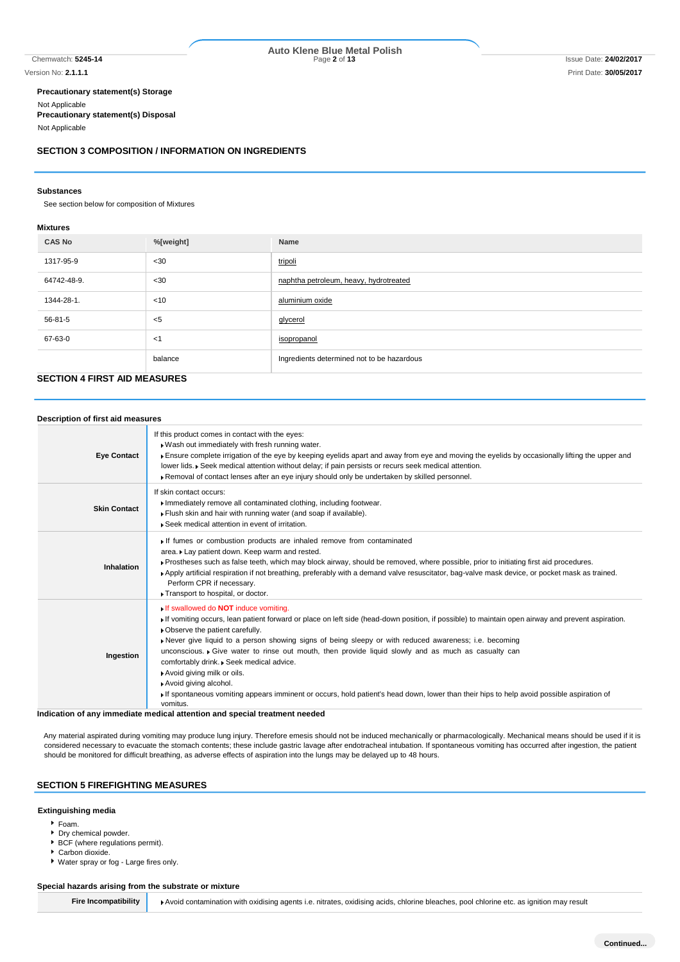# Chemwatch: **5245-14** Page **2** of **13** Issue Date: **24/02/2017 Auto Klene Blue Metal Polish**

**Precautionary statement(s) Storage** Not Applicable **Precautionary statement(s) Disposal** Not Applicable

#### **SECTION 3 COMPOSITION / INFORMATION ON INGREDIENTS**

#### **Substances**

See section below for composition of Mixtures

#### **Mixtures**

| <b>CAS No</b> | %[weight] | Name                                       |
|---------------|-----------|--------------------------------------------|
| 1317-95-9     | $30$      | tripoli                                    |
| 64742-48-9.   | $30$      | naphtha petroleum, heavy, hydrotreated     |
| 1344-28-1.    | $<$ 10    | aluminium oxide                            |
| 56-81-5       | $<$ 5     | glycerol                                   |
| 67-63-0       | $<$ 1     | isopropanol                                |
|               | balance   | Ingredients determined not to be hazardous |

# **SECTION 4 FIRST AID MEASURES**

| Description of first aid measures |                                                                                                                                                                                                                                                                                                                                                                                                                                                                                                                                                                                                                                                                                                                      |
|-----------------------------------|----------------------------------------------------------------------------------------------------------------------------------------------------------------------------------------------------------------------------------------------------------------------------------------------------------------------------------------------------------------------------------------------------------------------------------------------------------------------------------------------------------------------------------------------------------------------------------------------------------------------------------------------------------------------------------------------------------------------|
| <b>Eye Contact</b>                | If this product comes in contact with the eyes:<br>. Wash out immediately with fresh running water.<br>Ensure complete irrigation of the eye by keeping eyelids apart and away from eye and moving the eyelids by occasionally lifting the upper and<br>lower lids. ▶ Seek medical attention without delay; if pain persists or recurs seek medical attention.<br>Removal of contact lenses after an eye injury should only be undertaken by skilled personnel.                                                                                                                                                                                                                                                      |
| <b>Skin Contact</b>               | If skin contact occurs:<br>Immediately remove all contaminated clothing, including footwear.<br>Flush skin and hair with running water (and soap if available).<br>▶ Seek medical attention in event of irritation.                                                                                                                                                                                                                                                                                                                                                                                                                                                                                                  |
| Inhalation                        | If fumes or combustion products are inhaled remove from contaminated<br>area. Lay patient down. Keep warm and rested.<br>▶ Prostheses such as false teeth, which may block airway, should be removed, where possible, prior to initiating first aid procedures.<br>▶ Apply artificial respiration if not breathing, preferably with a demand valve resuscitator, bag-valve mask device, or pocket mask as trained.<br>Perform CPR if necessary.<br>Transport to hospital, or doctor.                                                                                                                                                                                                                                 |
| Ingestion                         | If swallowed do <b>NOT</b> induce vomiting.<br>If vomiting occurs, lean patient forward or place on left side (head-down position, if possible) to maintain open airway and prevent aspiration.<br>• Observe the patient carefully.<br>Never give liquid to a person showing signs of being sleepy or with reduced awareness; i.e. becoming<br>unconscious. • Give water to rinse out mouth, then provide liquid slowly and as much as casualty can<br>comfortably drink. . Seek medical advice.<br>Avoid giving milk or oils.<br>Avoid giving alcohol.<br>If spontaneous vomiting appears imminent or occurs, hold patient's head down, lower than their hips to help avoid possible aspiration of<br>vomitus.<br>. |

**Indication of any immediate medical attention and special treatment needed**

Any material aspirated during vomiting may produce lung injury. Therefore emesis should not be induced mechanically or pharmacologically. Mechanical means should be used if it is considered necessary to evacuate the stomach contents; these include gastric lavage after endotracheal intubation. If spontaneous vomiting has occurred after ingestion, the patient should be monitored for difficult breathing, as adverse effects of aspiration into the lungs may be delayed up to 48 hours.

# **SECTION 5 FIREFIGHTING MEASURES**

#### **Extinguishing media**

- Foam.
- Dry chemical powder.
- BCF (where regulations permit).
- Carbon dioxide.

Water spray or fog - Large fires only.

#### **Special hazards arising from the substrate or mixture**

**Fire Incompatibility Avoid contamination with oxidising agents i.e. nitrates, oxidising acids, chlorine bleaches, pool chlorine etc. as ignition may result**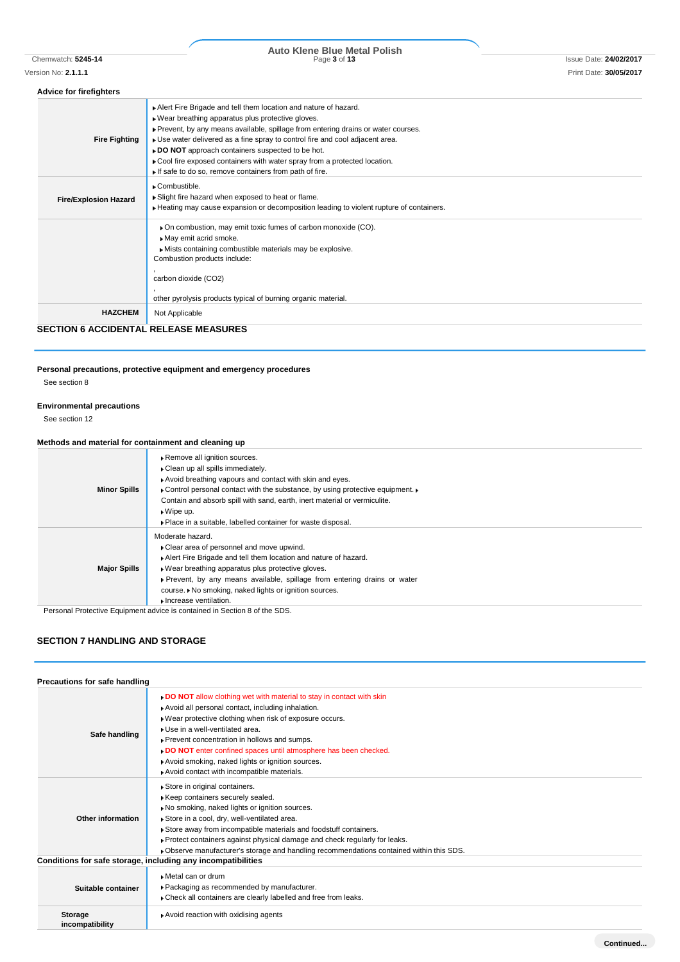# Chemwatch: **5245-14** Page **3** of **13** Issue Date: **24/02/2017 Auto Klene Blue Metal Polish**

### **Advice for firefighters**

| <b>SECTION 6 ACCIDENTAL RELEASE MEASURES</b> |                                                                                                                                          |
|----------------------------------------------|------------------------------------------------------------------------------------------------------------------------------------------|
| <b>HAZCHEM</b>                               | Not Applicable                                                                                                                           |
|                                              | other pyrolysis products typical of burning organic material.                                                                            |
|                                              | carbon dioxide (CO2)                                                                                                                     |
|                                              |                                                                                                                                          |
|                                              | Mists containing combustible materials may be explosive.<br>Combustion products include:                                                 |
|                                              | May emit acrid smoke.                                                                                                                    |
|                                              | On combustion, may emit toxic fumes of carbon monoxide (CO).                                                                             |
|                                              | Heating may cause expansion or decomposition leading to violent rupture of containers.                                                   |
| <b>Fire/Explosion Hazard</b>                 | Slight fire hazard when exposed to heat or flame.                                                                                        |
|                                              | ▶ Combustible.                                                                                                                           |
|                                              | If safe to do so, remove containers from path of fire.                                                                                   |
|                                              | Cool fire exposed containers with water spray from a protected location.                                                                 |
|                                              | DO NOT approach containers suspected to be hot.                                                                                          |
| <b>Fire Fighting</b>                         | • Use water delivered as a fine spray to control fire and cool adjacent area.                                                            |
|                                              | . Wear breathing apparatus plus protective gloves.<br>▶ Prevent, by any means available, spillage from entering drains or water courses. |
|                                              |                                                                                                                                          |
|                                              | Alert Fire Brigade and tell them location and nature of hazard.                                                                          |

# **Personal precautions, protective equipment and emergency procedures**

See section 8

## **Environmental precautions**

See section 12

## **Methods and material for containment and cleaning up**

| <b>Minor Spills</b> | Remove all ignition sources.<br>• Clean up all spills immediately.<br>Avoid breathing vapours and contact with skin and eyes.<br>• Control personal contact with the substance, by using protective equipment.<br>Contain and absorb spill with sand, earth, inert material or vermiculite.<br>$\bullet$ Wipe up.<br>• Place in a suitable, labelled container for waste disposal. |
|---------------------|------------------------------------------------------------------------------------------------------------------------------------------------------------------------------------------------------------------------------------------------------------------------------------------------------------------------------------------------------------------------------------|
| <b>Major Spills</b> | Moderate hazard.<br>Clear area of personnel and move upwind.<br>Alert Fire Brigade and tell them location and nature of hazard.<br>► Wear breathing apparatus plus protective gloves.<br>Prevent, by any means available, spillage from entering drains or water<br>course. ▶ No smoking, naked lights or ignition sources.<br>Increase ventilation.                               |

Personal Protective Equipment advice is contained in Section 8 of the SDS.

## **SECTION 7 HANDLING AND STORAGE**

| Precautions for safe handling |                                                                                                                                                                                                                                                                                                                                                                                                                                           |
|-------------------------------|-------------------------------------------------------------------------------------------------------------------------------------------------------------------------------------------------------------------------------------------------------------------------------------------------------------------------------------------------------------------------------------------------------------------------------------------|
| Safe handling                 | DO NOT allow clothing wet with material to stay in contact with skin<br>Avoid all personal contact, including inhalation.<br>Wear protective clothing when risk of exposure occurs.<br>Use in a well-ventilated area.<br>Prevent concentration in hollows and sumps.<br>DO NOT enter confined spaces until atmosphere has been checked.<br>Avoid smoking, naked lights or ignition sources.<br>Avoid contact with incompatible materials. |
| Other information             | Store in original containers.<br>Keep containers securely sealed.<br>No smoking, naked lights or ignition sources.<br>Store in a cool, dry, well-ventilated area.<br>Store away from incompatible materials and foodstuff containers.<br>Protect containers against physical damage and check regularly for leaks.<br>▶ Observe manufacturer's storage and handling recommendations contained within this SDS.                            |
|                               | Conditions for safe storage, including any incompatibilities                                                                                                                                                                                                                                                                                                                                                                              |
| Suitable container            | Metal can or drum<br>▶ Packaging as recommended by manufacturer.<br>Check all containers are clearly labelled and free from leaks.                                                                                                                                                                                                                                                                                                        |
| Storage<br>incompatibility    | Avoid reaction with oxidising agents                                                                                                                                                                                                                                                                                                                                                                                                      |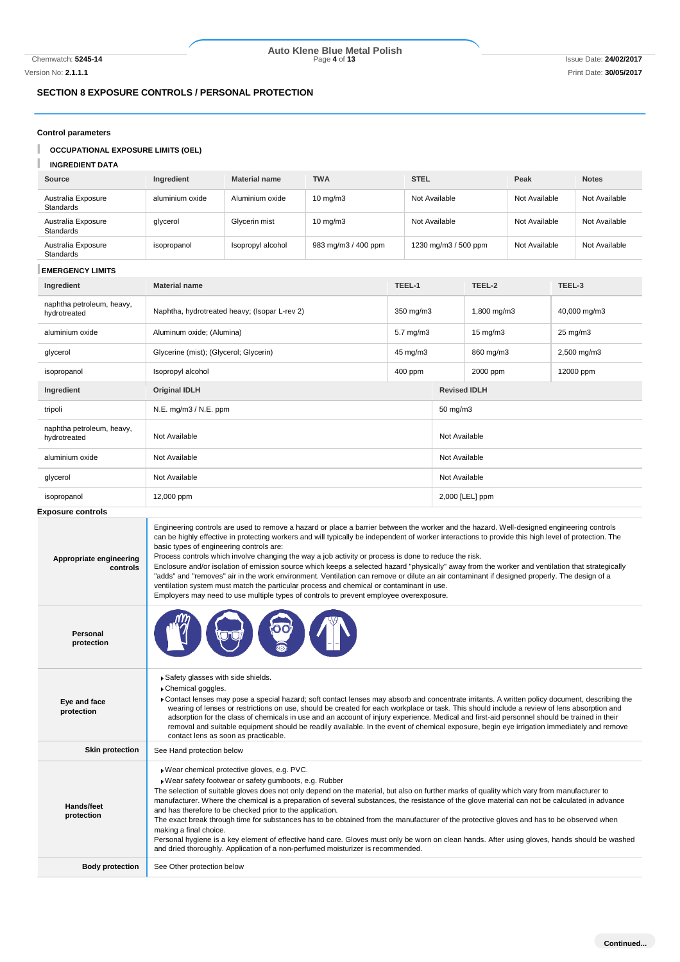# Chemwatch: **5245-14** Page **4** of **13** Issue Date: **24/02/2017 Auto Klene Blue Metal Polish**

Version No: **2.1.1.1** Print Date: **30/05/2017**

# **SECTION 8 EXPOSURE CONTROLS / PERSONAL PROTECTION**

## **Control parameters**

I **OCCUPATIONAL EXPOSURE LIMITS (OEL)**

#### T **INGREDIENT DATA**

| Source                          | Ingredient      | <b>Material name</b> | <b>TWA</b>          | <b>STEL</b>          | Peak          | <b>Notes</b>  |
|---------------------------------|-----------------|----------------------|---------------------|----------------------|---------------|---------------|
| Australia Exposure<br>Standards | aluminium oxide | Aluminium oxide      | $10 \text{ mg/m}$   | Not Available        | Not Available | Not Available |
| Australia Exposure<br>Standards | glycerol        | Glycerin mist        | $10 \text{ mg/m}$   | Not Available        | Not Available | Not Available |
| Australia Exposure<br>Standards | isopropanol     | Isopropyl alcohol    | 983 mg/m3 / 400 ppm | 1230 mg/m3 / 500 ppm | Not Available | Not Available |

### **EMERGENCY LIMITS**

| Ingredient                                | TEEL-1<br><b>Material name</b>                             |                      | TEEL-2              |                     | TEEL-3       |  |
|-------------------------------------------|------------------------------------------------------------|----------------------|---------------------|---------------------|--------------|--|
| naphtha petroleum, heavy,<br>hydrotreated | Naphtha, hydrotreated heavy; (Isopar L-rev 2)<br>350 mg/m3 |                      |                     | 1,800 mg/m3         | 40,000 mg/m3 |  |
| aluminium oxide                           | Aluminum oxide; (Alumina)                                  | $5.7 \text{ mg/m}$ 3 |                     | $15 \text{ mg/m}$   | 25 mg/m3     |  |
| glycerol                                  | Glycerine (mist); (Glycerol; Glycerin)                     | 45 mg/m3             |                     | 860 mg/m3           | 2,500 mg/m3  |  |
| isopropanol                               | Isopropyl alcohol                                          | 400 ppm              |                     | 2000 ppm            | 12000 ppm    |  |
| Ingredient                                | <b>Original IDLH</b>                                       |                      | <b>Revised IDLH</b> |                     |              |  |
| tripoli                                   | N.E. mg/m3 / N.E. ppm                                      |                      |                     | $50 \text{ mg/m}$ 3 |              |  |
| naphtha petroleum, heavy,<br>hydrotreated | Not Available                                              |                      |                     | Not Available       |              |  |
| aluminium oxide                           | Not Available                                              |                      |                     | Not Available       |              |  |
| glycerol                                  | Not Available                                              |                      | Not Available       |                     |              |  |
| isopropanol                               | 12,000 ppm                                                 |                      | 2,000 [LEL] ppm     |                     |              |  |

### **Exposure controls**

| Appropriate engineering<br>controls | Engineering controls are used to remove a hazard or place a barrier between the worker and the hazard. Well-designed engineering controls<br>can be highly effective in protecting workers and will typically be independent of worker interactions to provide this high level of protection. The<br>basic types of engineering controls are:<br>Process controls which involve changing the way a job activity or process is done to reduce the risk.<br>Enclosure and/or isolation of emission source which keeps a selected hazard "physically" away from the worker and ventilation that strategically<br>"adds" and "removes" air in the work environment. Ventilation can remove or dilute an air contaminant if designed properly. The design of a<br>ventilation system must match the particular process and chemical or contaminant in use.<br>Employers may need to use multiple types of controls to prevent employee overexposure. |
|-------------------------------------|-------------------------------------------------------------------------------------------------------------------------------------------------------------------------------------------------------------------------------------------------------------------------------------------------------------------------------------------------------------------------------------------------------------------------------------------------------------------------------------------------------------------------------------------------------------------------------------------------------------------------------------------------------------------------------------------------------------------------------------------------------------------------------------------------------------------------------------------------------------------------------------------------------------------------------------------------|
| Personal<br>protection              |                                                                                                                                                                                                                                                                                                                                                                                                                                                                                                                                                                                                                                                                                                                                                                                                                                                                                                                                                 |
| Eye and face<br>protection          | Safety glasses with side shields.<br>Chemical goggles.<br>Contact lenses may pose a special hazard; soft contact lenses may absorb and concentrate irritants. A written policy document, describing the<br>wearing of lenses or restrictions on use, should be created for each workplace or task. This should include a review of lens absorption and<br>adsorption for the class of chemicals in use and an account of injury experience. Medical and first-aid personnel should be trained in their<br>removal and suitable equipment should be readily available. In the event of chemical exposure, begin eye irrigation immediately and remove<br>contact lens as soon as practicable.                                                                                                                                                                                                                                                    |
| <b>Skin protection</b>              | See Hand protection below                                                                                                                                                                                                                                                                                                                                                                                                                                                                                                                                                                                                                                                                                                                                                                                                                                                                                                                       |
| Hands/feet<br>protection            | Wear chemical protective gloves, e.g. PVC.<br>Wear safety footwear or safety gumboots, e.g. Rubber<br>The selection of suitable gloves does not only depend on the material, but also on further marks of quality which vary from manufacturer to<br>manufacturer. Where the chemical is a preparation of several substances, the resistance of the glove material can not be calculated in advance<br>and has therefore to be checked prior to the application.<br>The exact break through time for substances has to be obtained from the manufacturer of the protective gloves and has to be observed when<br>making a final choice.<br>Personal hygiene is a key element of effective hand care. Gloves must only be worn on clean hands. After using gloves, hands should be washed<br>and dried thoroughly. Application of a non-perfumed moisturizer is recommended.                                                                     |
| <b>Body protection</b>              | See Other protection below                                                                                                                                                                                                                                                                                                                                                                                                                                                                                                                                                                                                                                                                                                                                                                                                                                                                                                                      |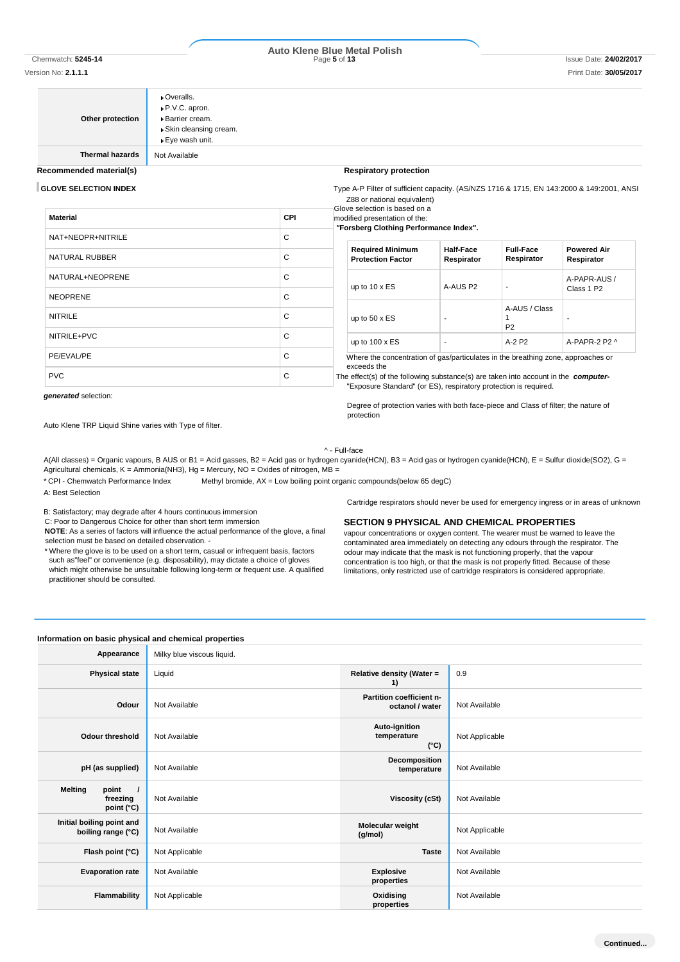#### Version No: **2.1.1.1** Print Date: **30/05/2017**

# **Auto Klene Blue Metal Polish**

**Other protection**

P.V.C. apron. Barrier cream. Skin cleansing cream. Eye wash unit.

Overalls.

**Thermal hazards** Not Available

### **Recommended material(s) Recommended material(s) Respiratory protection**

**GLOVE SELECTION INDEX** Type A-P Filter of sufficient capacity. (AS/NZS 1716 & 1715, EN 143:2000 & 149:2001, ANSI Z88 or national equivalent)

| odified presentation of the: |  |
|------------------------------|--|

| Material          | <b>CPI</b> | modified presentation of the:<br>"Forsberg Clothing Performance Index".                                                                                                                                                                                    |                                |                                 |                                  |
|-------------------|------------|------------------------------------------------------------------------------------------------------------------------------------------------------------------------------------------------------------------------------------------------------------|--------------------------------|---------------------------------|----------------------------------|
| NAT+NEOPR+NITRILE | C          |                                                                                                                                                                                                                                                            |                                |                                 |                                  |
| NATURAL RUBBER    | С          | <b>Required Minimum</b><br><b>Protection Factor</b>                                                                                                                                                                                                        | <b>Half-Face</b><br>Respirator | <b>Full-Face</b><br>Respirator  | <b>Powered Air</b><br>Respirator |
| NATURAL+NEOPRENE  | C          | up to $10 \times ES$                                                                                                                                                                                                                                       | A-AUS P2                       | ۰.                              | A-PAPR-AUS /                     |
| <b>NEOPRENE</b>   | C          |                                                                                                                                                                                                                                                            |                                |                                 | Class 1 P2                       |
| <b>NITRILE</b>    | C          | up to $50 \times ES$                                                                                                                                                                                                                                       |                                | A-AUS / Class<br>P <sub>2</sub> |                                  |
| NITRILE+PVC       | C          | up to $100 \times ES$                                                                                                                                                                                                                                      |                                | A-2 P2                          | A-PAPR-2 P2 ^                    |
| PE/EVAL/PE        | C          | Where the concentration of gas/particulates in the breathing zone, approaches or<br>exceeds the<br>The effect(s) of the following substance(s) are taken into account in the computer-<br>"Exposure Standard" (or ES), respiratory protection is required. |                                |                                 |                                  |
| <b>PVC</b>        | C          |                                                                                                                                                                                                                                                            |                                |                                 |                                  |

#### *generated* selection:

Degree of protection varies with both face-piece and Class of filter; the nature of protection

Auto Klene TRP Liquid Shine varies with Type of filter.

#### ^ - Full-face

A(All classes) = Organic vapours, B AUS or B1 = Acid gasses, B2 = Acid gas or hydrogen cyanide(HCN), B3 = Acid gas or hydrogen cyanide(HCN), E = Sulfur dioxide(SO2), G = Agricultural chemicals, K = Ammonia(NH3), Hg = Mercury, NO = Oxides of nitrogen, MB =

\* CPI - Chemwatch Performance Index Methyl bromide, AX = Low boiling point organic compounds(below 65 degC)

A: Best Selection

B: Satisfactory; may degrade after 4 hours continuous immersion

C: Poor to Dangerous Choice for other than short term immersion

**NOTE**: As a series of factors will influence the actual performance of the glove, a final selection must be based on detailed observation. -

\* Where the glove is to be used on a short term, casual or infrequent basis, factors such as"feel" or convenience (e.g. disposability), may dictate a choice of gloves which might otherwise be unsuitable following long-term or frequent use. A qualified practitioner should be consulted.

Cartridge respirators should never be used for emergency ingress or in areas of unknown

#### **SECTION 9 PHYSICAL AND CHEMICAL PROPERTIES**

vapour concentrations or oxygen content. The wearer must be warned to leave the contaminated area immediately on detecting any odours through the respirator. The odour may indicate that the mask is not functioning properly, that the vapour concentration is too high, or that the mask is not properly fitted. Because of these limitations, only restricted use of cartridge respirators is considered appropriate.

## **Information on basic physical and chemical properties**

| Appearance                                                    | Milky blue viscous liquid. |                                               |                |
|---------------------------------------------------------------|----------------------------|-----------------------------------------------|----------------|
| <b>Physical state</b>                                         | Liquid                     | Relative density (Water =<br>1)               | 0.9            |
| Odour                                                         | Not Available              | Partition coefficient n-<br>octanol / water   | Not Available  |
| Odour threshold                                               | Not Available              | Auto-ignition<br>temperature<br>$(^{\circ}C)$ | Not Applicable |
| pH (as supplied)                                              | Not Available              | Decomposition<br>temperature                  | Not Available  |
| <b>Melting</b><br>point<br>$\prime$<br>freezing<br>point (°C) | Not Available              | Viscosity (cSt)                               | Not Available  |
| Initial boiling point and<br>boiling range (°C)               | Not Available              | Molecular weight<br>(g/mol)                   | Not Applicable |
| Flash point (°C)                                              | Not Applicable             | <b>Taste</b>                                  | Not Available  |
| <b>Evaporation rate</b>                                       | Not Available              | <b>Explosive</b><br>properties                | Not Available  |
| Flammability                                                  | Not Applicable             | Oxidising<br>properties                       | Not Available  |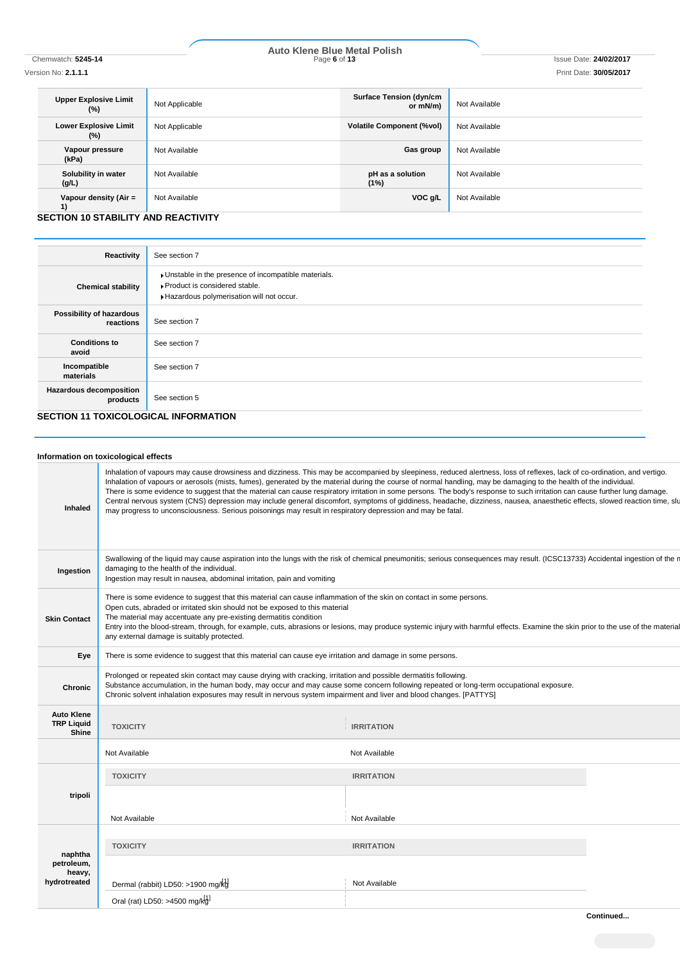# Chemwatch: **5245-14** Page **6** of **13** Issue Date: **24/02/2017 Auto Klene Blue Metal Polish**

Version No: **2.1.1.1** Print Date: **30/05/2017**

| <b>Upper Explosive Limit</b><br>$(\%)$    | Not Applicable | <b>Surface Tension (dyn/cm</b><br>or mN/m) | Not Available |
|-------------------------------------------|----------------|--------------------------------------------|---------------|
| <b>Lower Explosive Limit</b><br>$(\%)$    | Not Applicable | <b>Volatile Component (%vol)</b>           | Not Available |
| Vapour pressure<br>(kPa)                  | Not Available  | Gas group                                  | Not Available |
| Solubility in water<br>(g/L)              | Not Available  | pH as a solution<br>(1%)                   | Not Available |
| Vapour density (Air $=$<br>$\overline{1}$ | Not Available  | VOC g/L                                    | Not Available |

**SECTION 10 STABILITY AND REACTIVITY**

| Reactivity                                  | See section 7                                                                                                                      |  |  |  |
|---------------------------------------------|------------------------------------------------------------------------------------------------------------------------------------|--|--|--|
| <b>Chemical stability</b>                   | Unstable in the presence of incompatible materials.<br>▶ Product is considered stable.<br>Hazardous polymerisation will not occur. |  |  |  |
| Possibility of hazardous<br>reactions       | See section 7                                                                                                                      |  |  |  |
| <b>Conditions to</b><br>avoid               | See section 7                                                                                                                      |  |  |  |
| Incompatible<br>materials                   | See section 7                                                                                                                      |  |  |  |
| <b>Hazardous decomposition</b><br>products  | See section 5                                                                                                                      |  |  |  |
| <b>SECTION 11 TOXICOLOGICAL INFORMATION</b> |                                                                                                                                    |  |  |  |

## **Information on toxicological effects**

| Inhaled                                         | Inhalation of vapours may cause drowsiness and dizziness. This may be accompanied by sleepiness, reduced alertness, loss of reflexes, lack of co-ordination, and vertigo.<br>Inhalation of vapours or aerosols (mists, fumes), generated by the material during the course of normal handling, may be damaging to the health of the individual.<br>There is some evidence to suggest that the material can cause respiratory irritation in some persons. The body's response to such irritation can cause further lung damage.<br>Central nervous system (CNS) depression may include general discomfort, symptoms of giddiness, headache, dizziness, nausea, anaesthetic effects, slowed reaction time, slu<br>may progress to unconsciousness. Serious poisonings may result in respiratory depression and may be fatal. |                                                                                                                                                                                |  |  |
|-------------------------------------------------|----------------------------------------------------------------------------------------------------------------------------------------------------------------------------------------------------------------------------------------------------------------------------------------------------------------------------------------------------------------------------------------------------------------------------------------------------------------------------------------------------------------------------------------------------------------------------------------------------------------------------------------------------------------------------------------------------------------------------------------------------------------------------------------------------------------------------|--------------------------------------------------------------------------------------------------------------------------------------------------------------------------------|--|--|
| Ingestion                                       | damaging to the health of the individual.<br>Ingestion may result in nausea, abdominal irritation, pain and vomiting                                                                                                                                                                                                                                                                                                                                                                                                                                                                                                                                                                                                                                                                                                       | Swallowing of the liquid may cause aspiration into the lungs with the risk of chemical pneumonitis; serious consequences may result. (ICSC13733) Accidental ingestion of the n |  |  |
| <b>Skin Contact</b>                             | There is some evidence to suggest that this material can cause inflammation of the skin on contact in some persons.<br>Open cuts, abraded or irritated skin should not be exposed to this material<br>The material may accentuate any pre-existing dermatitis condition<br>Entry into the blood-stream, through, for example, cuts, abrasions or lesions, may produce systemic injury with harmful effects. Examine the skin prior to the use of the material<br>any external damage is suitably protected.                                                                                                                                                                                                                                                                                                                |                                                                                                                                                                                |  |  |
| Eye                                             | There is some evidence to suggest that this material can cause eye irritation and damage in some persons.                                                                                                                                                                                                                                                                                                                                                                                                                                                                                                                                                                                                                                                                                                                  |                                                                                                                                                                                |  |  |
| Chronic                                         | Prolonged or repeated skin contact may cause drying with cracking, irritation and possible dermatitis following.<br>Substance accumulation, in the human body, may occur and may cause some concern following repeated or long-term occupational exposure.<br>Chronic solvent inhalation exposures may result in nervous system impairment and liver and blood changes. [PATTYS]                                                                                                                                                                                                                                                                                                                                                                                                                                           |                                                                                                                                                                                |  |  |
| <b>Auto Klene</b><br><b>TRP Liquid</b><br>Shine | <b>TOXICITY</b>                                                                                                                                                                                                                                                                                                                                                                                                                                                                                                                                                                                                                                                                                                                                                                                                            | <b>IRRITATION</b>                                                                                                                                                              |  |  |
|                                                 | Not Available                                                                                                                                                                                                                                                                                                                                                                                                                                                                                                                                                                                                                                                                                                                                                                                                              | Not Available                                                                                                                                                                  |  |  |
|                                                 | <b>TOXICITY</b>                                                                                                                                                                                                                                                                                                                                                                                                                                                                                                                                                                                                                                                                                                                                                                                                            | <b>IRRITATION</b>                                                                                                                                                              |  |  |
| tripoli                                         |                                                                                                                                                                                                                                                                                                                                                                                                                                                                                                                                                                                                                                                                                                                                                                                                                            |                                                                                                                                                                                |  |  |
|                                                 | Not Available                                                                                                                                                                                                                                                                                                                                                                                                                                                                                                                                                                                                                                                                                                                                                                                                              | Not Available                                                                                                                                                                  |  |  |
| naphtha<br>petroleum,<br>heavy,<br>hydrotreated | <b>TOXICITY</b><br>Dermal (rabbit) LD50: >1900 mg/kd                                                                                                                                                                                                                                                                                                                                                                                                                                                                                                                                                                                                                                                                                                                                                                       | <b>IRRITATION</b><br>Not Available                                                                                                                                             |  |  |
|                                                 | Oral (rat) LD50: >4500 mg/kg1                                                                                                                                                                                                                                                                                                                                                                                                                                                                                                                                                                                                                                                                                                                                                                                              |                                                                                                                                                                                |  |  |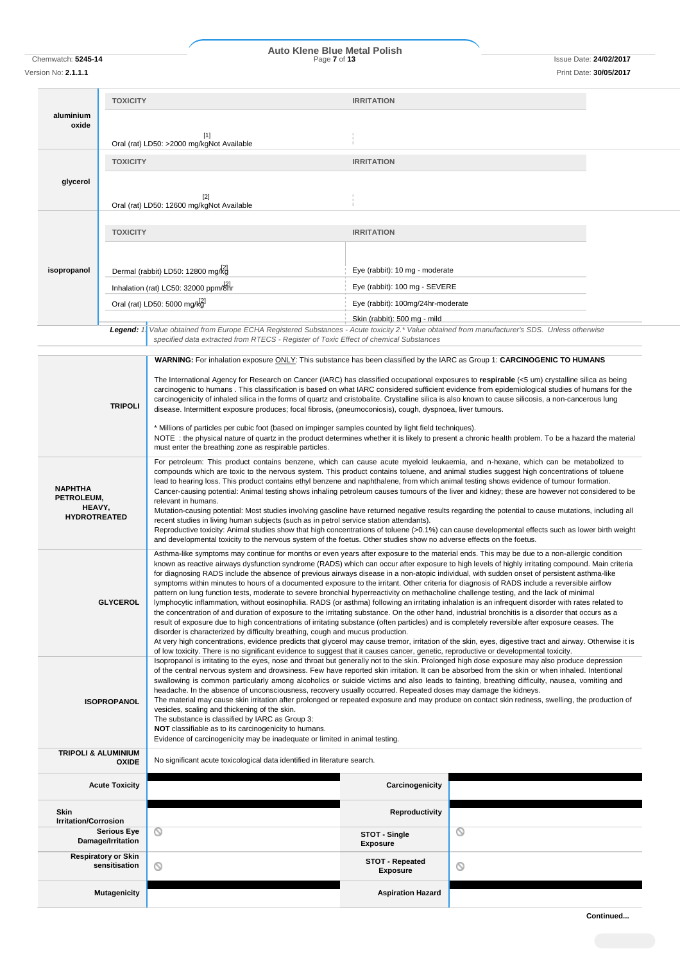# Chemwatch: **5245-14** Page **7** of **13** Issue Date: **24/02/2017 Auto Klene Blue Metal Polish**

Version No: **2.1.1.1** Print Date: **30/05/2017**

| aluminium                                                     | <b>TOXICITY</b>                                  |                                                                                                                                                                                                                                                                                                                                                                                                                                                                                                                                                                                                                                                                                                                                                                                                                                                                                                                                                                                                                                                                                                                                                                                                                                                                                                                                                                                                                                                                                                                                                                                 | <b>IRRITATION</b>                  |   |  |  |
|---------------------------------------------------------------|--------------------------------------------------|---------------------------------------------------------------------------------------------------------------------------------------------------------------------------------------------------------------------------------------------------------------------------------------------------------------------------------------------------------------------------------------------------------------------------------------------------------------------------------------------------------------------------------------------------------------------------------------------------------------------------------------------------------------------------------------------------------------------------------------------------------------------------------------------------------------------------------------------------------------------------------------------------------------------------------------------------------------------------------------------------------------------------------------------------------------------------------------------------------------------------------------------------------------------------------------------------------------------------------------------------------------------------------------------------------------------------------------------------------------------------------------------------------------------------------------------------------------------------------------------------------------------------------------------------------------------------------|------------------------------------|---|--|--|
| oxide                                                         | [1]<br>Oral (rat) LD50: >2000 mg/kgNot Available |                                                                                                                                                                                                                                                                                                                                                                                                                                                                                                                                                                                                                                                                                                                                                                                                                                                                                                                                                                                                                                                                                                                                                                                                                                                                                                                                                                                                                                                                                                                                                                                 |                                    |   |  |  |
|                                                               | <b>TOXICITY</b>                                  |                                                                                                                                                                                                                                                                                                                                                                                                                                                                                                                                                                                                                                                                                                                                                                                                                                                                                                                                                                                                                                                                                                                                                                                                                                                                                                                                                                                                                                                                                                                                                                                 | <b>IRRITATION</b>                  |   |  |  |
| glycerol                                                      |                                                  |                                                                                                                                                                                                                                                                                                                                                                                                                                                                                                                                                                                                                                                                                                                                                                                                                                                                                                                                                                                                                                                                                                                                                                                                                                                                                                                                                                                                                                                                                                                                                                                 |                                    |   |  |  |
|                                                               |                                                  | $[2]$<br>Oral (rat) LD50: 12600 mg/kgNot Available                                                                                                                                                                                                                                                                                                                                                                                                                                                                                                                                                                                                                                                                                                                                                                                                                                                                                                                                                                                                                                                                                                                                                                                                                                                                                                                                                                                                                                                                                                                              |                                    |   |  |  |
|                                                               | <b>TOXICITY</b>                                  |                                                                                                                                                                                                                                                                                                                                                                                                                                                                                                                                                                                                                                                                                                                                                                                                                                                                                                                                                                                                                                                                                                                                                                                                                                                                                                                                                                                                                                                                                                                                                                                 | <b>IRRITATION</b>                  |   |  |  |
|                                                               |                                                  |                                                                                                                                                                                                                                                                                                                                                                                                                                                                                                                                                                                                                                                                                                                                                                                                                                                                                                                                                                                                                                                                                                                                                                                                                                                                                                                                                                                                                                                                                                                                                                                 |                                    |   |  |  |
| isopropanol                                                   |                                                  | Dermal (rabbit) LD50: 12800 mg/kg                                                                                                                                                                                                                                                                                                                                                                                                                                                                                                                                                                                                                                                                                                                                                                                                                                                                                                                                                                                                                                                                                                                                                                                                                                                                                                                                                                                                                                                                                                                                               | Eye (rabbit): 10 mg - moderate     |   |  |  |
|                                                               |                                                  | Inhalation (rat) LC50: 32000 ppm/8Hr                                                                                                                                                                                                                                                                                                                                                                                                                                                                                                                                                                                                                                                                                                                                                                                                                                                                                                                                                                                                                                                                                                                                                                                                                                                                                                                                                                                                                                                                                                                                            | Eye (rabbit): 100 mg - SEVERE      |   |  |  |
|                                                               |                                                  | Oral (rat) LD50: 5000 mg/kg                                                                                                                                                                                                                                                                                                                                                                                                                                                                                                                                                                                                                                                                                                                                                                                                                                                                                                                                                                                                                                                                                                                                                                                                                                                                                                                                                                                                                                                                                                                                                     | Eye (rabbit): 100mg/24hr-moderate  |   |  |  |
|                                                               |                                                  |                                                                                                                                                                                                                                                                                                                                                                                                                                                                                                                                                                                                                                                                                                                                                                                                                                                                                                                                                                                                                                                                                                                                                                                                                                                                                                                                                                                                                                                                                                                                                                                 | Skin (rabbit): 500 mg - mild       |   |  |  |
|                                                               | Legend: $1$                                      | Value obtained from Europe ECHA Registered Substances - Acute toxicity 2.* Value obtained from manufacturer's SDS. Unless otherwise<br>specified data extracted from RTECS - Register of Toxic Effect of chemical Substances                                                                                                                                                                                                                                                                                                                                                                                                                                                                                                                                                                                                                                                                                                                                                                                                                                                                                                                                                                                                                                                                                                                                                                                                                                                                                                                                                    |                                    |   |  |  |
|                                                               |                                                  | WARNING: For inhalation exposure ONLY: This substance has been classified by the IARC as Group 1: CARCINOGENIC TO HUMANS                                                                                                                                                                                                                                                                                                                                                                                                                                                                                                                                                                                                                                                                                                                                                                                                                                                                                                                                                                                                                                                                                                                                                                                                                                                                                                                                                                                                                                                        |                                    |   |  |  |
|                                                               |                                                  |                                                                                                                                                                                                                                                                                                                                                                                                                                                                                                                                                                                                                                                                                                                                                                                                                                                                                                                                                                                                                                                                                                                                                                                                                                                                                                                                                                                                                                                                                                                                                                                 |                                    |   |  |  |
|                                                               | <b>TRIPOLI</b>                                   | The International Agency for Research on Cancer (IARC) has classified occupational exposures to respirable (<5 um) crystalline silica as being<br>carcinogenic to humans. This classification is based on what IARC considered sufficient evidence from epidemiological studies of humans for the<br>carcinogenicity of inhaled silica in the forms of quartz and cristobalite. Crystalline silica is also known to cause silicosis, a non-cancerous lung<br>disease. Intermittent exposure produces; focal fibrosis, (pneumoconiosis), cough, dyspnoea, liver tumours.                                                                                                                                                                                                                                                                                                                                                                                                                                                                                                                                                                                                                                                                                                                                                                                                                                                                                                                                                                                                         |                                    |   |  |  |
|                                                               |                                                  | * Millions of particles per cubic foot (based on impinger samples counted by light field techniques).<br>NOTE: the physical nature of quartz in the product determines whether it is likely to present a chronic health problem. To be a hazard the material<br>must enter the breathing zone as respirable particles.                                                                                                                                                                                                                                                                                                                                                                                                                                                                                                                                                                                                                                                                                                                                                                                                                                                                                                                                                                                                                                                                                                                                                                                                                                                          |                                    |   |  |  |
| <b>NAPHTHA</b><br>PETROLEUM,<br>HEAVY,<br><b>HYDROTREATED</b> |                                                  | For petroleum: This product contains benzene, which can cause acute myeloid leukaemia, and n-hexane, which can be metabolized to<br>compounds which are toxic to the nervous system. This product contains toluene, and animal studies suggest high concentrations of toluene<br>lead to hearing loss. This product contains ethyl benzene and naphthalene, from which animal testing shows evidence of tumour formation.<br>Cancer-causing potential: Animal testing shows inhaling petroleum causes tumours of the liver and kidney; these are however not considered to be<br>relevant in humans.<br>Mutation-causing potential: Most studies involving gasoline have returned negative results regarding the potential to cause mutations, including all<br>recent studies in living human subjects (such as in petrol service station attendants).<br>Reproductive toxicity: Animal studies show that high concentrations of toluene (>0.1%) can cause developmental effects such as lower birth weight                                                                                                                                                                                                                                                                                                                                                                                                                                                                                                                                                                    |                                    |   |  |  |
|                                                               | <b>GLYCEROL</b>                                  | and developmental toxicity to the nervous system of the foetus. Other studies show no adverse effects on the foetus.<br>Asthma-like symptoms may continue for months or even years after exposure to the material ends. This may be due to a non-allergic condition<br>known as reactive airways dysfunction syndrome (RADS) which can occur after exposure to high levels of highly irritating compound. Main criteria<br>for diagnosing RADS include the absence of previous airways disease in a non-atopic individual, with sudden onset of persistent asthma-like<br>symptoms within minutes to hours of a documented exposure to the irritant. Other criteria for diagnosis of RADS include a reversible airflow<br>pattern on lung function tests, moderate to severe bronchial hyperreactivity on methacholine challenge testing, and the lack of minimal<br>lymphocytic inflammation, without eosinophilia. RADS (or asthma) following an irritating inhalation is an infrequent disorder with rates related to<br>the concentration of and duration of exposure to the irritating substance. On the other hand, industrial bronchitis is a disorder that occurs as a<br>result of exposure due to high concentrations of irritating substance (often particles) and is completely reversible after exposure ceases. The<br>disorder is characterized by difficulty breathing, cough and mucus production.<br>At very high concentrations, evidence predicts that glycerol may cause tremor, irritation of the skin, eyes, digestive tract and airway. Otherwise it is |                                    |   |  |  |
|                                                               | <b>ISOPROPANOL</b>                               | of low toxicity. There is no significant evidence to suggest that it causes cancer, genetic, reproductive or developmental toxicity.<br>Isopropanol is irritating to the eyes, nose and throat but generally not to the skin. Prolonged high dose exposure may also produce depression<br>of the central nervous system and drowsiness. Few have reported skin irritation. It can be absorbed from the skin or when inhaled. Intentional<br>swallowing is common particularly among alcoholics or suicide victims and also leads to fainting, breathing difficulty, nausea, vomiting and<br>headache. In the absence of unconsciousness, recovery usually occurred. Repeated doses may damage the kidneys.<br>The material may cause skin irritation after prolonged or repeated exposure and may produce on contact skin redness, swelling, the production of<br>vesicles, scaling and thickening of the skin.<br>The substance is classified by IARC as Group 3:<br>NOT classifiable as to its carcinogenicity to humans.<br>Evidence of carcinogenicity may be inadequate or limited in animal testing.                                                                                                                                                                                                                                                                                                                                                                                                                                                                      |                                    |   |  |  |
| <b>TRIPOLI &amp; ALUMINIUM</b>                                | <b>OXIDE</b>                                     | No significant acute toxicological data identified in literature search.                                                                                                                                                                                                                                                                                                                                                                                                                                                                                                                                                                                                                                                                                                                                                                                                                                                                                                                                                                                                                                                                                                                                                                                                                                                                                                                                                                                                                                                                                                        |                                    |   |  |  |
|                                                               | <b>Acute Toxicity</b>                            |                                                                                                                                                                                                                                                                                                                                                                                                                                                                                                                                                                                                                                                                                                                                                                                                                                                                                                                                                                                                                                                                                                                                                                                                                                                                                                                                                                                                                                                                                                                                                                                 | Carcinogenicity                    |   |  |  |
| <b>Skin</b><br><b>Irritation/Corrosion</b>                    |                                                  |                                                                                                                                                                                                                                                                                                                                                                                                                                                                                                                                                                                                                                                                                                                                                                                                                                                                                                                                                                                                                                                                                                                                                                                                                                                                                                                                                                                                                                                                                                                                                                                 | Reproductivity                     |   |  |  |
|                                                               | <b>Serious Eye</b>                               | ◎                                                                                                                                                                                                                                                                                                                                                                                                                                                                                                                                                                                                                                                                                                                                                                                                                                                                                                                                                                                                                                                                                                                                                                                                                                                                                                                                                                                                                                                                                                                                                                               | STOT - Single                      | ◎ |  |  |
|                                                               | Damage/Irritation<br><b>Respiratory or Skin</b>  |                                                                                                                                                                                                                                                                                                                                                                                                                                                                                                                                                                                                                                                                                                                                                                                                                                                                                                                                                                                                                                                                                                                                                                                                                                                                                                                                                                                                                                                                                                                                                                                 | <b>Exposure</b>                    |   |  |  |
|                                                               | sensitisation                                    | $\circ$                                                                                                                                                                                                                                                                                                                                                                                                                                                                                                                                                                                                                                                                                                                                                                                                                                                                                                                                                                                                                                                                                                                                                                                                                                                                                                                                                                                                                                                                                                                                                                         | STOT - Repeated<br><b>Exposure</b> | ◎ |  |  |
|                                                               | <b>Mutagenicity</b>                              |                                                                                                                                                                                                                                                                                                                                                                                                                                                                                                                                                                                                                                                                                                                                                                                                                                                                                                                                                                                                                                                                                                                                                                                                                                                                                                                                                                                                                                                                                                                                                                                 | <b>Aspiration Hazard</b>           |   |  |  |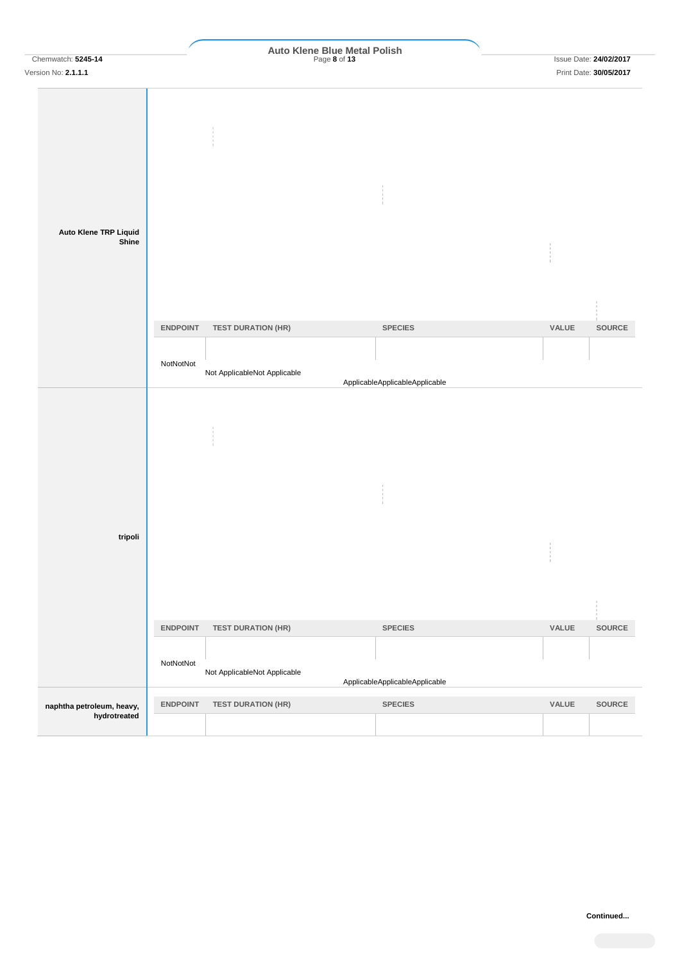| Chemwatch: 5245-14<br>Version No: 2.1.1.1 |                 | Auto Klene Blue Metal Polish<br>Page 8 of 13 |                                |       | <b>Issue Date: 24/02/2017</b><br>Print Date: 30/05/2017 |
|-------------------------------------------|-----------------|----------------------------------------------|--------------------------------|-------|---------------------------------------------------------|
|                                           |                 |                                              |                                |       |                                                         |
| Auto Klene TRP Liquid<br>Shine            |                 |                                              |                                |       |                                                         |
|                                           | <b>ENDPOINT</b> | <b>TEST DURATION (HR)</b>                    | <b>SPECIES</b>                 | VALUE | SOURCE                                                  |
|                                           | NotNotNot       | Not ApplicableNot Applicable                 | ApplicableApplicableApplicable |       |                                                         |
|                                           |                 |                                              |                                |       |                                                         |
| tripoli                                   |                 |                                              |                                | $\pm$ |                                                         |
|                                           | <b>ENDPOINT</b> | <b>TEST DURATION (HR)</b>                    | <b>SPECIES</b>                 | VALUE | SOURCE                                                  |
|                                           | NotNotNot       | Not ApplicableNot Applicable                 | ApplicableApplicableApplicable |       |                                                         |
|                                           |                 |                                              |                                |       |                                                         |
| naphtha petroleum, heavy,<br>hydrotreated | <b>ENDPOINT</b> | <b>TEST DURATION (HR)</b>                    | <b>SPECIES</b>                 | VALUE | SOURCE                                                  |
|                                           |                 |                                              |                                |       |                                                         |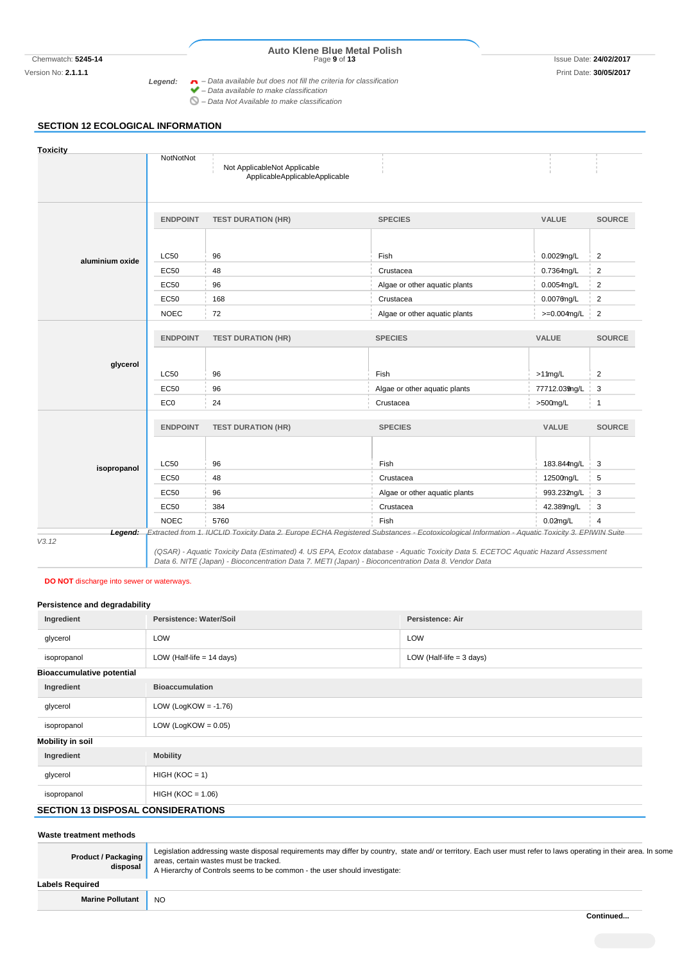# Chemwatch: **5245-14** Page **9** of **13** Issue Date: **24/02/2017 Auto Klene Blue Metal Polish**

Version No: **2.1.1.1** Print Date: **30/05/2017** *Legend: – Data available but does not fill the criteria for classification – Data available to make classification*

- *– Data Not Available to make classification*
	-

# **SECTION 12 ECOLOGICAL INFORMATION**

| <b>Toxicity</b> |                 |                                                                                                                                               |                               |                |                |
|-----------------|-----------------|-----------------------------------------------------------------------------------------------------------------------------------------------|-------------------------------|----------------|----------------|
|                 | NotNotNot       | Not ApplicableNot Applicable<br>ApplicableApplicableApplicable                                                                                |                               |                |                |
|                 | <b>ENDPOINT</b> | <b>TEST DURATION (HR)</b>                                                                                                                     | <b>SPECIES</b>                | <b>VALUE</b>   | <b>SOURCE</b>  |
| aluminium oxide | <b>LC50</b>     | 96                                                                                                                                            | Fish                          | 0.0029mg/L     | $\overline{2}$ |
|                 | <b>EC50</b>     | 48                                                                                                                                            | Crustacea                     | 0.7364mg/L     | 2              |
|                 | <b>EC50</b>     | 96                                                                                                                                            | Algae or other aquatic plants | 0.0054mg/L     | 2              |
|                 | <b>EC50</b>     | 168                                                                                                                                           | Crustacea                     | $0.0076$ ng/L  | 2              |
|                 | <b>NOEC</b>     | 72                                                                                                                                            | Algae or other aquatic plants | $>=0.004$ mg/L | $\overline{2}$ |
|                 | <b>ENDPOINT</b> | <b>TEST DURATION (HR)</b>                                                                                                                     | <b>SPECIES</b>                | <b>VALUE</b>   | <b>SOURCE</b>  |
| glycerol        | <b>LC50</b>     | 96                                                                                                                                            | Fish                          | $>1$ 1mg/L     | 2              |
|                 | <b>EC50</b>     | 96                                                                                                                                            | Algae or other aquatic plants | 77712.039ng/L  | 3              |
|                 | EC <sub>0</sub> | 24                                                                                                                                            | Crustacea                     | $>500$ mg/L    | $\overline{1}$ |
|                 | <b>ENDPOINT</b> | <b>TEST DURATION (HR)</b>                                                                                                                     | <b>SPECIES</b>                | VALUE          | <b>SOURCE</b>  |
| isopropanol     | <b>LC50</b>     | 96                                                                                                                                            | Fish                          | 183.844mg/L    | 3              |
|                 | <b>EC50</b>     | 48                                                                                                                                            | Crustacea                     | 12500mg/L      | 5              |
|                 | <b>EC50</b>     | 96                                                                                                                                            | Algae or other aquatic plants | 993.232mg/L    | 3              |
|                 | <b>EC50</b>     | 384                                                                                                                                           | Crustacea                     | 42.389mg/L     | 3              |
|                 | <b>NOEC</b>     | 5760                                                                                                                                          | Fish                          | 0.02mg/L       | $\overline{4}$ |
| Legend:         |                 | Extracted from 1. IUCLID Toxicity Data 2. Europe ECHA Registered Substances - Ecotoxicological Information - Aquatic Toxicity 3. EPIWIN Suite |                               |                |                |

*Data 6. NITE (Japan) - Bioconcentration Data 7. METI (Japan) - Bioconcentration Data 8. Vendor Data*

# **DO NOT** discharge into sewer or waterways.

# **Persistence and degradability**

| Ingredient                                | Persistence: Water/Soil                                   | <b>Persistence: Air</b> |  |  |  |
|-------------------------------------------|-----------------------------------------------------------|-------------------------|--|--|--|
| glycerol                                  | LOW                                                       | LOW                     |  |  |  |
| isopropanol                               | LOW (Half-life $= 14$ days)<br>LOW (Half-life $=$ 3 days) |                         |  |  |  |
| <b>Bioaccumulative potential</b>          |                                                           |                         |  |  |  |
| Ingredient                                | <b>Bioaccumulation</b>                                    |                         |  |  |  |
| glycerol                                  | LOW (LogKOW = $-1.76$ )                                   |                         |  |  |  |
| isopropanol                               | LOW (LogKOW = $0.05$ )                                    |                         |  |  |  |
| <b>Mobility in soil</b>                   |                                                           |                         |  |  |  |
| Ingredient                                | <b>Mobility</b>                                           |                         |  |  |  |
| glycerol                                  | $HIGH (KOC = 1)$                                          |                         |  |  |  |
| isopropanol                               | $HIGH (KOC = 1.06)$                                       |                         |  |  |  |
| <b>SECTION 13 DISPOSAL CONSIDERATIONS</b> |                                                           |                         |  |  |  |

#### **Waste treatment methods**

| <b>Product / Packaging</b><br>disposal | Legislation addressing waste disposal requirements may differ by country, state and/ or territory. Each user must refer to laws operating in their area. In some<br>areas, certain wastes must be tracked.<br>A Hierarchy of Controls seems to be common - the user should investigate: |
|----------------------------------------|-----------------------------------------------------------------------------------------------------------------------------------------------------------------------------------------------------------------------------------------------------------------------------------------|
| Labels Required                        |                                                                                                                                                                                                                                                                                         |
| <b>Marine Pollutant</b>                | NO.                                                                                                                                                                                                                                                                                     |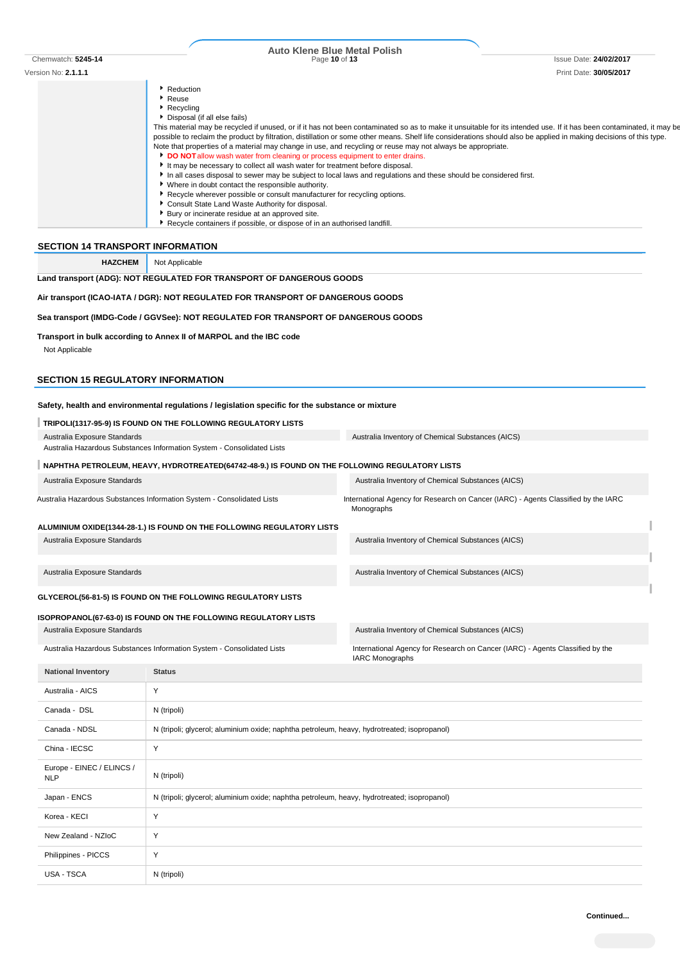| Chemwatch: 5245-14                                                       |                                                                                                                             | <b>Auto Klene Blue Metal Polish</b>                                                                                                                                                                                                                                                |                        |
|--------------------------------------------------------------------------|-----------------------------------------------------------------------------------------------------------------------------|------------------------------------------------------------------------------------------------------------------------------------------------------------------------------------------------------------------------------------------------------------------------------------|------------------------|
|                                                                          |                                                                                                                             | Page 10 of 13                                                                                                                                                                                                                                                                      | Issue Date: 24/02/2017 |
| Version No: 2.1.1.1                                                      |                                                                                                                             |                                                                                                                                                                                                                                                                                    | Print Date: 30/05/2017 |
|                                                                          | Reduction<br>Reuse                                                                                                          |                                                                                                                                                                                                                                                                                    |                        |
|                                                                          | Recycling                                                                                                                   |                                                                                                                                                                                                                                                                                    |                        |
|                                                                          | Disposal (if all else fails)                                                                                                |                                                                                                                                                                                                                                                                                    |                        |
|                                                                          |                                                                                                                             | This material may be recycled if unused, or if it has not been contaminated so as to make it unsuitable for its intended use. If it has been contaminated, it may be                                                                                                               |                        |
|                                                                          |                                                                                                                             | possible to reclaim the product by filtration, distillation or some other means. Shelf life considerations should also be applied in making decisions of this type.<br>Note that properties of a material may change in use, and recycling or reuse may not always be appropriate. |                        |
|                                                                          | DO NOT allow wash water from cleaning or process equipment to enter drains.                                                 |                                                                                                                                                                                                                                                                                    |                        |
|                                                                          | It may be necessary to collect all wash water for treatment before disposal.                                                |                                                                                                                                                                                                                                                                                    |                        |
|                                                                          | * Where in doubt contact the responsible authority.                                                                         | In all cases disposal to sewer may be subject to local laws and regulations and these should be considered first.                                                                                                                                                                  |                        |
|                                                                          | Recycle wherever possible or consult manufacturer for recycling options.                                                    |                                                                                                                                                                                                                                                                                    |                        |
|                                                                          | Consult State Land Waste Authority for disposal.                                                                            |                                                                                                                                                                                                                                                                                    |                        |
|                                                                          | Bury or incinerate residue at an approved site.<br>Recycle containers if possible, or dispose of in an authorised landfill. |                                                                                                                                                                                                                                                                                    |                        |
|                                                                          |                                                                                                                             |                                                                                                                                                                                                                                                                                    |                        |
| <b>SECTION 14 TRANSPORT INFORMATION</b>                                  |                                                                                                                             |                                                                                                                                                                                                                                                                                    |                        |
| <b>HAZCHEM</b>                                                           | Not Applicable                                                                                                              |                                                                                                                                                                                                                                                                                    |                        |
|                                                                          | Land transport (ADG): NOT REGULATED FOR TRANSPORT OF DANGEROUS GOODS                                                        |                                                                                                                                                                                                                                                                                    |                        |
|                                                                          |                                                                                                                             |                                                                                                                                                                                                                                                                                    |                        |
|                                                                          | Air transport (ICAO-IATA / DGR): NOT REGULATED FOR TRANSPORT OF DANGEROUS GOODS                                             |                                                                                                                                                                                                                                                                                    |                        |
|                                                                          | Sea transport (IMDG-Code / GGVSee): NOT REGULATED FOR TRANSPORT OF DANGEROUS GOODS                                          |                                                                                                                                                                                                                                                                                    |                        |
|                                                                          |                                                                                                                             |                                                                                                                                                                                                                                                                                    |                        |
|                                                                          | Transport in bulk according to Annex II of MARPOL and the IBC code                                                          |                                                                                                                                                                                                                                                                                    |                        |
| Not Applicable                                                           |                                                                                                                             |                                                                                                                                                                                                                                                                                    |                        |
|                                                                          |                                                                                                                             |                                                                                                                                                                                                                                                                                    |                        |
|                                                                          |                                                                                                                             |                                                                                                                                                                                                                                                                                    |                        |
|                                                                          |                                                                                                                             |                                                                                                                                                                                                                                                                                    |                        |
|                                                                          |                                                                                                                             |                                                                                                                                                                                                                                                                                    |                        |
|                                                                          | Safety, health and environmental regulations / legislation specific for the substance or mixture                            |                                                                                                                                                                                                                                                                                    |                        |
|                                                                          | TRIPOLI(1317-95-9) IS FOUND ON THE FOLLOWING REGULATORY LISTS                                                               |                                                                                                                                                                                                                                                                                    |                        |
| Australia Exposure Standards                                             |                                                                                                                             | Australia Inventory of Chemical Substances (AICS)                                                                                                                                                                                                                                  |                        |
|                                                                          | Australia Hazardous Substances Information System - Consolidated Lists                                                      |                                                                                                                                                                                                                                                                                    |                        |
|                                                                          | NAPHTHA PETROLEUM, HEAVY, HYDROTREATED(64742-48-9.) IS FOUND ON THE FOLLOWING REGULATORY LISTS                              |                                                                                                                                                                                                                                                                                    |                        |
| <b>SECTION 15 REGULATORY INFORMATION</b><br>Australia Exposure Standards |                                                                                                                             | Australia Inventory of Chemical Substances (AICS)                                                                                                                                                                                                                                  |                        |
|                                                                          |                                                                                                                             |                                                                                                                                                                                                                                                                                    |                        |
|                                                                          | Australia Hazardous Substances Information System - Consolidated Lists                                                      | International Agency for Research on Cancer (IARC) - Agents Classified by the IARC<br>Monographs                                                                                                                                                                                   |                        |
|                                                                          |                                                                                                                             |                                                                                                                                                                                                                                                                                    |                        |
|                                                                          | ALUMINIUM OXIDE(1344-28-1.) IS FOUND ON THE FOLLOWING REGULATORY LISTS                                                      |                                                                                                                                                                                                                                                                                    |                        |
| Australia Exposure Standards                                             |                                                                                                                             | Australia Inventory of Chemical Substances (AICS)                                                                                                                                                                                                                                  |                        |
|                                                                          |                                                                                                                             |                                                                                                                                                                                                                                                                                    |                        |
| Australia Exposure Standards                                             |                                                                                                                             | Australia Inventory of Chemical Substances (AICS)                                                                                                                                                                                                                                  |                        |
|                                                                          |                                                                                                                             |                                                                                                                                                                                                                                                                                    |                        |

# **ISOPROPANOL(67-63-0) IS FOUND ON THE FOLLOWING REGULATORY LISTS**

Australia Exposure Standards **Australia Inventory of Chemical Substances (AICS)** Australia Inventory of Chemical Substances (AICS)

Australia Hazardous Substances Information System - Consolidated Lists International Agency for Research on Cancer (IARC) - Agents Classified by the

| <b>National Inventory</b>               | <b>Status</b>                                                                               |
|-----------------------------------------|---------------------------------------------------------------------------------------------|
| Australia - AICS                        | Y                                                                                           |
| Canada - DSL                            | N (tripoli)                                                                                 |
| Canada - NDSL                           | N (tripoli; glycerol; aluminium oxide; naphtha petroleum, heavy, hydrotreated; isopropanol) |
| China - IECSC                           | Y                                                                                           |
| Europe - EINEC / ELINCS /<br><b>NLP</b> | N (tripoli)                                                                                 |
| Japan - ENCS                            | N (tripoli; glycerol; aluminium oxide; naphtha petroleum, heavy, hydrotreated; isopropanol) |
| Korea - KECI                            | Y                                                                                           |
| New Zealand - NZIoC                     | Y                                                                                           |
| Philippines - PICCS                     | Y                                                                                           |
| USA - TSCA                              | N (tripoli)                                                                                 |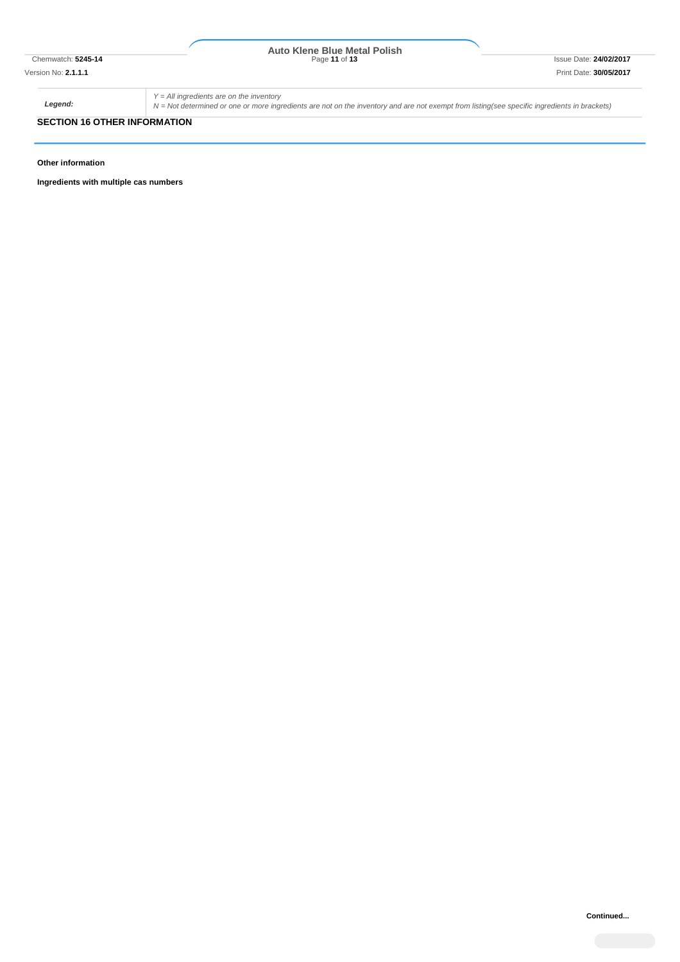# Chemwatch: **5245-14** Page **11** of **13** Issue Date: **24/02/2017 Auto Klene Blue Metal Polish**

*Legend:*

*Y = All ingredients are on the inventory*

*N = Not determined or one or more ingredients are not on the inventory and are not exempt from listing(see specific ingredients in brackets)*

# **SECTION 16 OTHER INFORMATION**

**Other information**

**Ingredients with multiple cas numbers**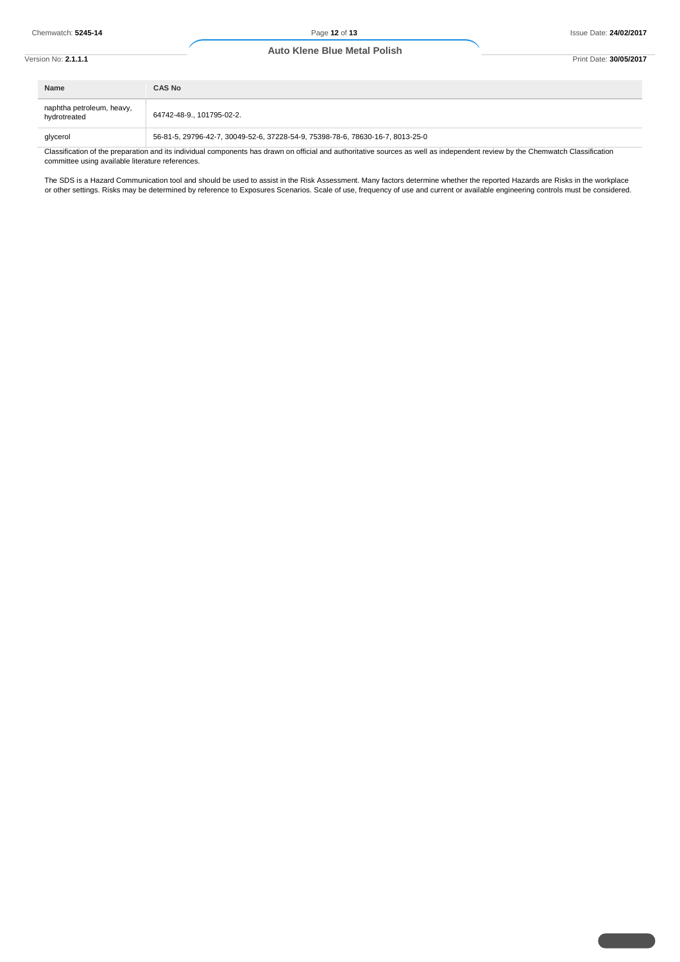| Version No: <b>2.1.1.1</b> |                                           | <b>Auto Klene Blue Metal Polish</b>                                            | Print Date: 30/05/2017 |
|----------------------------|-------------------------------------------|--------------------------------------------------------------------------------|------------------------|
|                            | Name                                      | <b>CAS No</b>                                                                  |                        |
|                            | naphtha petroleum, heavy,<br>hydrotreated | 64742-48-9., 101795-02-2.                                                      |                        |
|                            | glycerol                                  | 56-81-5, 29796-42-7, 30049-52-6, 37228-54-9, 75398-78-6, 78630-16-7, 8013-25-0 |                        |

Classification of the preparation and its individual components has drawn on official and authoritative sources as well as independent review by the Chemwatch Classification committee using available literature references.

The SDS is a Hazard Communication tool and should be used to assist in the Risk Assessment. Many factors determine whether the reported Hazards are Risks in the workplace or other settings. Risks may be determined by reference to Exposures Scenarios. Scale of use, frequency of use and current or available engineering controls must be considered.